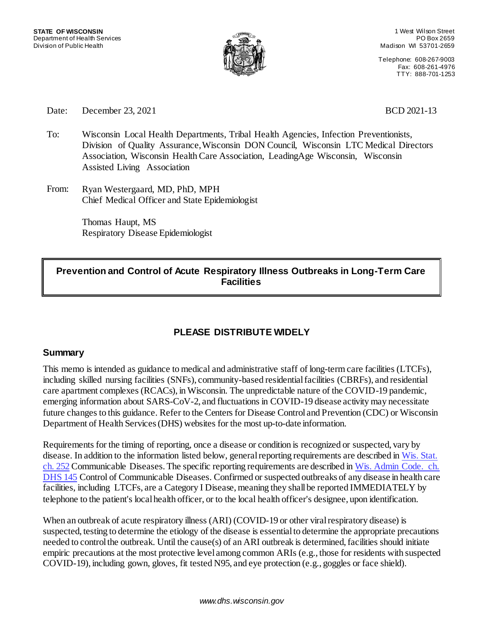

1 West Wilson Street PO Box 2659 Madison WI 53701-2659

Telephone: 608-267-9003 Fax: 608-261-4976 TTY: 888-701-1253

Date: December 23, 2021 BCD 2021-13

- To: Wisconsin Local Health Departments, Tribal Health Agencies, Infection Preventionists, Division of Quality Assurance,Wisconsin DON Council, Wisconsin LTC Medical Directors Association, Wisconsin Health Care Association, LeadingAge Wisconsin, Wisconsin Assisted Living Association
- From: Ryan Westergaard, MD, PhD, MPH Chief Medical Officer and State Epidemiologist

Thomas Haupt, MS Respiratory Disease Epidemiologist

#### **Prevention and Control of Acute Respiratory Illness Outbreaks in Long-Term Care Facilities**

### **PLEASE DISTRIBUTE WIDELY**

#### **Summary**

This memo is intended as guidance to medical and administrative staff of long-term care facilities (LTCFs), including skilled nursing facilities (SNFs), community-based residential facilities (CBRFs), and residential care apartment complexes (RCACs), in Wisconsin. The unpredictable nature of the COVID-19 pandemic, emerging information about SARS-CoV-2, and fluctuations in COVID-19 disease activity may necessitate future changes to this guidance. Refer to the Centers for Disease Control and Prevention (CDC) or Wisconsin Department of Health Services (DHS) websites for the most up-to-date information.

Requirements for the timing of reporting, once a disease or condition is recognized or suspected, vary by disease. In addition to the information listed below, general reporting requirements are described in Wis. Stat. [ch. 252](https://docs.legis.wisconsin.gov/statutes/statutes/252/) Communicable Diseases. The specific reporting requirements are described i[n Wis. Admin Code. ch.](http://docs.legis.wi.gov/code/admin_code/dhs/110/145) [DHS 145](http://docs.legis.wi.gov/code/admin_code/dhs/110/145) Control of Communicable Diseases. Confirmed or suspected outbreaks of any disease in health care facilities, including LTCFs, are a Category I Disease, meaning they shall be reported IMMEDIATELY by telephone to the patient'[s local health officer, o](https://www.dhs.wisconsin.gov/lh-depts/counties.htm)r to the local health officer's designee, upon identification.

When an outbreak of acute respiratory illness (ARI) (COVID-19 or other viral respiratory disease) is suspected, testing to determine the etiology of the disease is essential to determine the appropriate precautions needed to control the outbreak. Until the cause(s) of an ARI outbreak is determined, facilities should initiate empiric precautions at the most protective level among common ARIs (e.g., those for residents with suspected COVID-19), including gown, gloves, fit tested N95, and eye protection (e.g., goggles or face shield).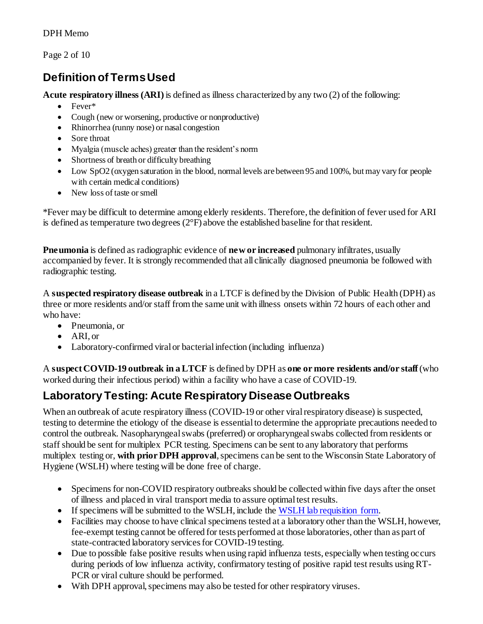Page 2 of 10

# **Definition of Terms Used**

**Acute respiratory illness (ARI)** is defined as illness characterized by any two (2) of the following:

- Fever\*
- Cough (new or worsening, productive or nonproductive)
- Rhinorrhea (runny nose) or nasal congestion
- Sore throat
- Myalgia (muscle aches) greater than the resident's norm
- Shortness of breath or difficulty breathing
- Low SpO2 (oxygen saturation in the blood, normal levels are between 95 and 100%, but may vary for people with certain medical conditions)
- New loss of taste or smell

\*Fever may be difficult to determine among elderly residents. Therefore, the definition of fever used for ARI is defined as temperature two degrees  $(2^{\circ}F)$  above the established baseline for that resident.

**Pneumonia** is defined as radiographic evidence of **new or increased** pulmonary infiltrates, usually accompanied by fever. It is strongly recommended that all clinically diagnosed pneumonia be followed with radiographic testing.

A **suspected respiratory disease outbreak** in a LTCF is defined by the Division of Public Health (DPH) as three or more residents and/or staff from the same unit with illness onsets within 72 hours of each other and who have:

- Pneumonia, or
- ARI, or
- Laboratory-confirmed viral or bacterial infection (including influenza)

A **suspect COVID-19 outbreak in a LTCF** is defined by DPH as **one or more residents and/or staff**(who worked during their infectious period) within a facility who have a case of COVID-19.

# **Laboratory Testing: Acute Respiratory Disease Outbreaks**

When an outbreak of acute respiratory illness (COVID-19 or other viral respiratory disease) is suspected, testing to determine the etiology of the disease is essential to determine the appropriate precautions needed to control the outbreak. Nasopharyngeal swabs (preferred) or oropharyngeal swabs collected from residents or staff should be sent for multiplex PCR testing. Specimens can be sent to any laboratory that performs multiplex testing or, **with prior DPH approval**, specimens can be sent to the Wisconsin State Laboratory of Hygiene (WSLH) where testing will be done free of charge.

- Specimens for non-COVID respiratory outbreaks should be collected within five days after the onset of illness and placed in viral transport media to assure optimal test results.
- If specimens will be submitted to the WSLH, include th[e WSLH lab requisition form.](http://www.slh.wisc.edu/clinical/diseases/forms/)
- Facilities may choose to have clinical specimens tested at a laboratory other than the WSLH, however, fee-exempt testing cannot be offered for tests performed at those laboratories, other than as part of state-contracted laboratory services for COVID-19 testing.
- Due to possible false positive results when using rapid influenza tests, especially when testing occurs during periods of low influenza activity, confirmatory testing of positive rapid test results using RT-PCR or viral culture should be performed.
- With DPH approval, specimens may also be tested for other respiratory viruses.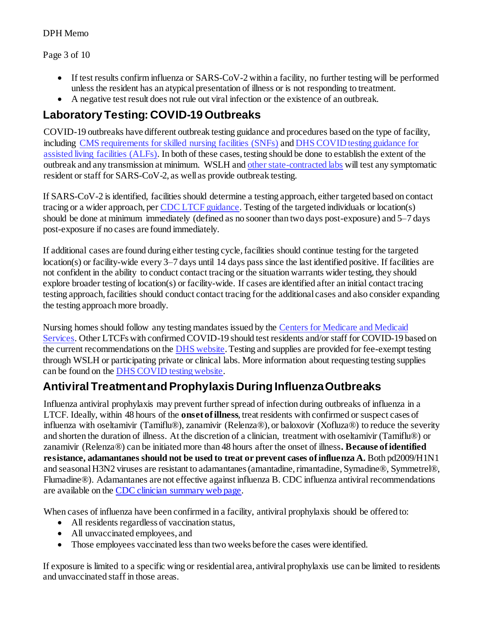#### Page 3 of 10

- If test results confirm influenza or SARS-CoV-2 within a facility, no further testing will be performed unless the resident has an atypical presentation of illness or is not responding to treatment.
- A negative test result does not rule out viral infection or the existence of an outbreak.

### **Laboratory Testing: COVID-19 Outbreaks**

COVID-19 outbreaks have different outbreak testing guidance and procedures based on the type of facility, including [CMS requirements for skilled nursing facilities \(SNFs\)](https://www.cms.gov/files/document/qso-20-38-nh-revised.pdf) an[d DHS COVID testing guidance for](https://www.dhs.wisconsin.gov/publications/p02768.pdf)  [assisted living facilities \(ALFs\).](https://www.dhs.wisconsin.gov/publications/p02768.pdf) In both of these cases, testing should be done to establish the extent of the outbreak and any transmission at minimum. WSLH an[d other state-contracted labs](https://covid19supplies.wi.gov/Testing) will test any symptomatic resident or staff for SARS-CoV-2, as well as provide outbreak testing.

If SARS-CoV-2 is identified, facilities should determine a testing approach, either targeted based on contact tracing or a wider approach, pe[r CDC LTCF guidance](https://www.cdc.gov/coronavirus/2019-ncov/hcp/long-term-care.html#anchor_1631031561398). Testing of the targeted individuals or location(s) should be done at minimum immediately (defined as no sooner than two days post-exposure) and 5–7 days post-exposure if no cases are found immediately.

If additional cases are found during either testing cycle, facilities should continue testing for the targeted location(s) or facility-wide every 3–7 days until 14 days pass since the last identified positive. If facilities are not confident in the ability to conduct contact tracing or the situation warrants wider testing, they should explore broader testing of location(s) or facility-wide. If cases are identified after an initial contact tracing testing approach, facilities should conduct contact tracing for the additional cases and also consider expanding the testing approach more broadly.

Nursing homes should follow any testing mandates issued by the [Centers for Medicare and Medicaid](https://www.cms.gov/files/document/qso-20-38-nh-revised.pdf)  [Services.](https://www.cms.gov/files/document/qso-20-38-nh-revised.pdf) Other LTCFs with confirmed COVID-19 should test residents and/or staff for COVID-19 based on the current recommendations on the **DHS** website. Testing and supplies are provided for fee-exempt testing through WSLH or participating private or clinical labs. More information about requesting testing supplies can be found on th[e DHS COVID testing website](https://covid19supplies.wi.gov/).

## **Antiviral Treatment and Prophylaxis During Influenza Outbreaks**

Influenza antiviral prophylaxis may prevent further spread of infection during outbreaks of influenza in a LTCF. Ideally, within 48 hours of the **onset of illness**, treat residents with confirmed or suspect cases of influenza with oseltamivir (Tamiflu®), zanamivir (Relenza®), or baloxovir (Xofluza®) to reduce the severity and shorten the duration of illness. At the discretion of a clinician, treatment with oseltamivir (Tamiflu®) or zanamivir (Relenza®) can be initiated more than 48 hours after the onset of illness**. Because of identified resistance, adamantanes should not be used to treat or prevent cases of influenza A.** Both pd2009/H1N1 and seasonal H3N2 viruses are resistant to adamantanes (amantadine, rimantadine, Symadine®, Symmetrel®, Flumadine®). Adamantanes are not effective against influenza B. CDC influenza antiviral recommendations are available on the [CDC clinician summary web page](https://www.cdc.gov/flu/professionals/antivirals/summary-clinicians.htm).

When cases of influenza have been confirmed in a facility, antiviral prophylaxis should be offered to:

- All residents regardless of vaccination status,
- All unvaccinated employees, and
- Those employees vaccinated less than two weeks before the cases were identified.

If exposure is limited to a specific wing or residential area, antiviral prophylaxis use can be limited to residents and unvaccinated staff in those areas.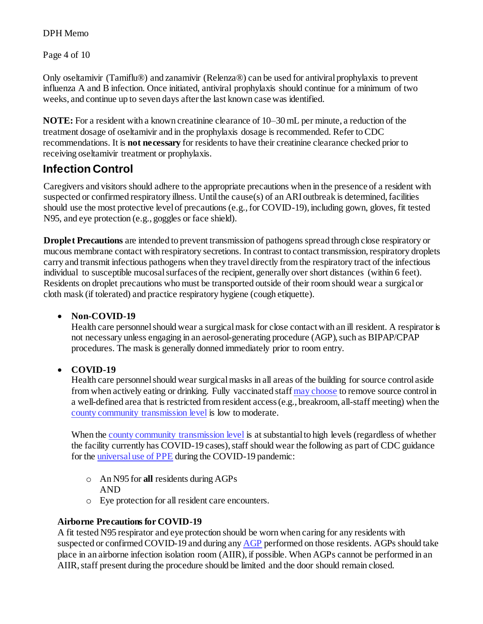Page 4 of 10

Only oseltamivir (Tamiflu®) and zanamivir (Relenza®) can be used for antiviral prophylaxis to prevent influenza A and B infection. Once initiated, antiviral prophylaxis should continue for a minimum of two weeks, and continue up to seven days after the last known case was identified.

**NOTE:** For a resident with a known creatinine clearance of 10–30 mL per minute, a reduction of the treatment dosage of oseltamivir and in the prophylaxis dosage is recommended. Refer to CDC recommendations. It is **not necessary** for residents to have their creatinine clearance checked prior to receiving oseltamivir treatment or prophylaxis.

### **Infection Control**

Caregivers and visitors should adhere to the appropriate precautions when in the presence of a resident with suspected or confirmed respiratory illness. Until the cause(s) of an ARI outbreak is determined, facilities should use the most protective level of precautions (e.g., for COVID-19), including gown, gloves, fit tested N95, and eye protection (e.g., goggles or face shield).

**Droplet Precautions** are intended to prevent transmission of pathogens spread through close respiratory or mucous membrane contact with respiratory secretions. In contrast to contact transmission, respiratory droplets carry and transmit infectious pathogens when they travel directly from the respiratory tract of the infectious individual to susceptible mucosal surfaces of the recipient, generally over short distances (within 6 feet). Residents on droplet precautions who must be transported outside of their room should wear a surgical or cloth mask (if tolerated) and practice respiratory hygiene (cough etiquette).

#### **Non-COVID-19**

Health care personnel should wear a surgical mask for close contact with an ill resident. A respirator is not necessary unless engaging in an aerosol-generating procedure (AGP), such as BIPAP/CPAP procedures. The mask is generally donned immediately prior to room entry.

#### **COVID-19**

Health care personnel should wear surgical masks in all areas of the building for source control aside from when actively eating or drinking. Fully vaccinated staf[f may choose](https://www.cdc.gov/coronavirus/2019-ncov/hcp/infection-control-recommendations.html) to remove source control in a well-defined area that is restricted from resident access (e.g., breakroom, all-staff meeting) when the [county community transmission level](https://covid.cdc.gov/covid-data-tracker/#county-view) is low to moderate.

When th[e county community transmission level](https://covid.cdc.gov/covid-data-tracker/#county-view) is at substantial to high levels (regardless of whether the facility currently has COVID-19 cases), staff should wear the following as part of CDC guidance for th[e universal use of PPE](https://www.cdc.gov/coronavirus/2019-ncov/hcp/long-term-care.html) during the COVID-19 pandemic:

- o An N95 for **all** residents during AGPs AND
- o Eye protection for all resident care encounters.

#### **Airborne Precautions for COVID-19**

A fit tested N95 respirator and eye protection should be worn when caring for any residents with suspected or confirmed COVID-19 and during an[y AGP](https://www.cdc.gov/coronavirus/2019-ncov/hcp/faq.html#Infection-Control) performed on those residents. AGPs should take place in an airborne infection isolation room (AIIR), if possible. When AGPs cannot be performed in an AIIR, staff present during the procedure should be limited and the door should remain closed.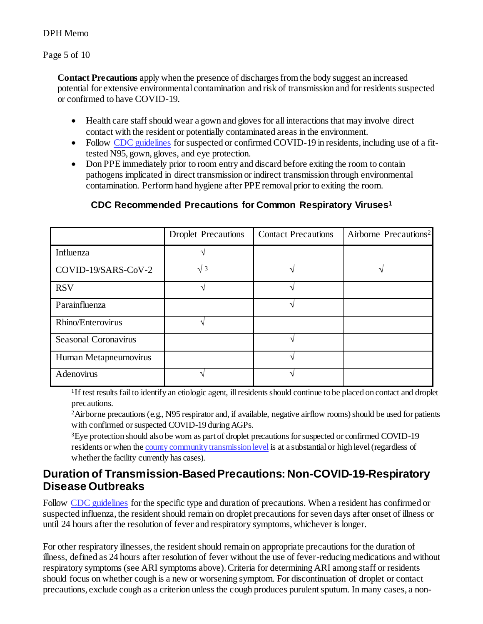Page 5 of 10

**Contact Precautions** apply when the presence of discharges from the body suggest an increased potential for extensive environmental contamination and risk of transmission and for residents suspected or confirmed to have COVID-19.

- Health care staff should wear a gown and gloves for all interactions that may involve direct contact with the resident or potentially contaminated areas in the environment.
- Follow [CDC guidelines](https://www.cdc.gov/coronavirus/2019-ncov/hcp/long-term-care.html) for suspected or confirmed COVID-19 in residents, including use of a fittested N95, gown, gloves, and eye protection.
- Don PPE immediately prior to room entry and discard before exiting the room to contain pathogens implicated in direct transmission or indirect transmission through environmental contamination. Perform hand hygiene after PPE removal prior to exiting the room.

#### **CDC Recommended Precautions for Common Respiratory Viruses<sup>1</sup>**

|                       | <b>Droplet Precautions</b> | <b>Contact Precautions</b> | Airborne Precautions <sup>2</sup> |
|-----------------------|----------------------------|----------------------------|-----------------------------------|
| Influenza             |                            |                            |                                   |
| COVID-19/SARS-CoV-2   | $\sqrt{3}$                 |                            |                                   |
| <b>RSV</b>            |                            |                            |                                   |
| Parainfluenza         |                            |                            |                                   |
| Rhino/Enterovirus     |                            |                            |                                   |
| Seasonal Coronavirus  |                            |                            |                                   |
| Human Metapneumovirus |                            |                            |                                   |
| Adenovirus            |                            |                            |                                   |

<sup>1</sup>If test results fail to identify an etiologic agent, ill residents should continue to be placed on contact and droplet precautions.

<sup>2</sup>Airborne precautions (e.g., N95 respirator and, if available, negative airflow rooms) should be used for patients with confirmed or suspected COVID-19 during AGPs.

<sup>3</sup>Eye protection should also be worn as part of droplet precautions for suspected or confirmed COVID-19 residents or when th[e county community transmission level](https://covid.cdc.gov/covid-data-tracker/#county-view) is at a substantial or high level (regardless of whether the facility currently has cases).

### **Duration of Transmission-Based Precautions: Non-COVID-19-Respiratory Disease Outbreaks**

Follow [CDC guidelines](https://www.cdc.gov/infectioncontrol/guidelines/isolation/appendix/type-duration-precautions.html) for the specific type and duration of precautions. When a resident has confirmed or suspected influenza, the resident should remain on droplet precautions for seven days after onset of illness or until 24 hours after the resolution of fever and respiratory symptoms, whichever is longer.

For other respiratory illnesses, the resident should remain on appropriate precautions for the duration of illness, defined as 24 hours after resolution of fever without the use of fever-reducing medications and without respiratory symptoms (see ARI symptoms above). Criteria for determining ARI among staff or residents should focus on whether cough is a new or worsening symptom. For discontinuation of droplet or contact precautions, exclude cough as a criterion unless the cough produces purulent sputum. In many cases, a non-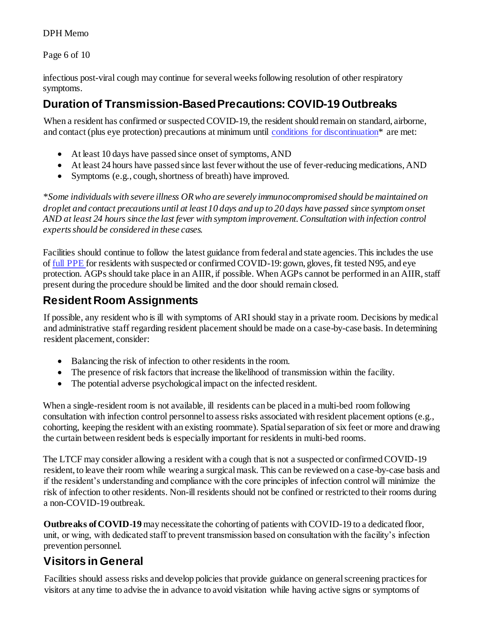Page 6 of 10

infectious post-viral cough may continue for several weeks following resolution of other respiratory symptoms.

### **Duration of Transmission-Based Precautions: COVID-19 Outbreaks**

When a resident has confirmed or suspected COVID-19, the resident should remain on standard, airborne, and contact (plus eye protection) precautions at minimum until [conditions for discontinuation\\*](https://www.cdc.gov/coronavirus/2019-ncov/hcp/disposition-hospitalized-patients.html) are met:

- At least 10 days have passed since onset of symptoms, AND
- At least 24 hours have passed since last fever without the use of fever-reducing medications, AND
- Symptoms (e.g., cough, shortness of breath) have improved.

*\*Some individuals with severe illness OR who are severely immunocompromised should be maintained on droplet and contact precautions until at least 10 days and up to 20 days have passed since symptom onset AND at least 24 hours since the last fever with symptom improvement. Consultation with infection control experts should be considered in these cases.* 

Facilities should continue to follow the latest guidance from federal and state agencies. This includes the use o[f full PPE](https://www.cdc.gov/coronavirus/2019-ncov/hcp/long-term-care.html) for residents with suspected or confirmed COVID-19: gown, gloves, fit tested N95, and eye protection. AGPs should take place in an AIIR, if possible. When AGPs cannot be performed in an AIIR, staff present during the procedure should be limited and the door should remain closed.

### **Resident Room Assignments**

If possible, any resident who is ill with symptoms of ARI should stay in a private room. Decisions by medical and administrative staff regarding resident placement should be made on a case-by-case basis. In determining resident placement, consider:

- Balancing the risk of infection to other residents in the room.
- The presence of risk factors that increase the likelihood of transmission within the facility.
- The potential adverse psychological impact on the infected resident.

When a single-resident room is not available, ill residents can be placed in a multi-bed room following consultation with infection control personnel to assess risks associated with resident placement options (e.g., cohorting, keeping the resident with an existing roommate). Spatial separation of six feet or more and drawing the curtain between resident beds is especially important for residents in multi-bed rooms.

The LTCF may consider allowing a resident with a cough that is not a suspected or confirmed COVID-19 resident, to leave their room while wearing a surgical mask. This can be reviewed on a case-by-case basis and if the resident's understanding and compliance with the core principles of infection control will minimize the risk of infection to other residents. Non-ill residents should not be confined or restricted to their rooms during a non-COVID-19 outbreak.

**Outbreaks of COVID-19** may necessitate the cohorting of patients with COVID-19 to a dedicated floor, unit, or wing, with dedicated staff to prevent transmission based on consultation with the facility's infection prevention personnel.

# **Visitors in General**

Facilities should assess risks and develop policies that provide guidance on general screening practices for visitors at any time to advise the in advance to avoid visitation while having active signs or symptoms of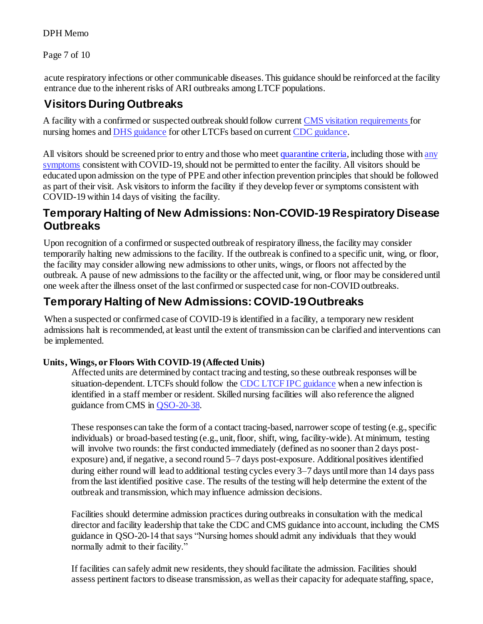Page 7 of 10

acute respiratory infections or other communicable diseases. This guidance should be reinforced at the facility entrance due to the inherent risks of ARI outbreaks among LTCF populations.

### **Visitors During Outbreaks**

A facility with a confirmed or suspected outbreak should follow curren[t CMS visitation requirements](https://www.cms.gov/files/document/qso-20-39-nh-revised.pdf) for nursing homes an[d DHS guidance](https://www.dhs.wisconsin.gov/covid-19/assisted-living.htm#safer-visits-in-wisconsin-assisted-living---a-person-centered-approach) for other LTCFs based on curren[t CDC guidance](https://www.cdc.gov/coronavirus/2019-ncov/hcp/infection-control-recommendations.html#anchor_1604360721943).

All visitors should be screened prior to entry and those who mee[t quarantine criteria](https://www.cdc.gov/coronavirus/2019-ncov/your-health/quarantine-isolation.html?CDC_AA_refVal=https%3A%2F%2Fwww.cdc.gov%2Fcoronavirus%2F2019-ncov%2Fif-you-are-sick%2Fquarantine.html), including those with any [symptoms](https://www.cdc.gov/coronavirus/2019-ncov/symptoms-testing/symptoms.html) consistent with COVID-19, should not be permitted to enter the facility. All visitors should be educated upon admission on the type of PPE and other infection prevention principles that should be followed as part of their visit. Ask visitors to inform the facility if they develop fever or symptoms consistent with COVID-19 within 14 days of visiting the facility.

### **Temporary Halting of New Admissions: Non-COVID-19 Respiratory Disease Outbreaks**

Upon recognition of a confirmed or suspected outbreak of respiratory illness, the facility may consider temporarily halting new admissions to the facility. If the outbreak is confined to a specific unit, wing, or floor, the facility may consider allowing new admissions to other units, wings, or floors not affected by the outbreak. A pause of new admissions to the facility or the affected unit, wing, or floor may be considered until one week after the illness onset of the last confirmed or suspected case for non-COVID outbreaks.

## **Temporary Halting of New Admissions: COVID-19 Outbreaks**

When a suspected or confirmed case of COVID-19 is identified in a facility, a temporary new resident admissions halt is recommended, at least until the extent of transmission can be clarified and interventions can be implemented.

#### **Units, Wings, or Floors With COVID-19 (Affected Units)**

Affected units are determined by contact tracing and testing, so these outbreak responses will be situation-dependent. LTCFs should follow th[e CDC LTCF IPC guidance](https://www.cdc.gov/coronavirus/2019-ncov/hcp/long-term-care.html#anchor_1631031561398) when a new infection is identified in a staff member or resident. Skilled nursing facilities will also reference the aligned guidance from CMS in [QSO-20-38.](https://www.cms.gov/files/document/qso-20-38-nh-revised.pdf)

These responses can take the form of a contact tracing-based, narrower scope of testing (e.g., specific individuals) or broad-based testing (e.g., unit, floor, shift, wing, facility-wide). At minimum, testing will involve two rounds: the first conducted immediately (defined as no sooner than 2 days postexposure) and, if negative, a second round 5–7 days post-exposure. Additional positives identified during either round will lead to additional testing cycles every 3–7 days until more than 14 days pass from the last identified positive case. The results of the testing will help determine the extent of the outbreak and transmission, which may influence admission decisions.

Facilities should determine admission practices during outbreaks in consultation with the medical director and facility leadership that take the CDC and CMS guidance into account, including the CMS guidance in QSO-20-14 that says "Nursing homes should admit any individuals that they would normally admit to their facility."

If facilities can safely admit new residents, they should facilitate the admission. Facilities should assess pertinent factors to disease transmission, as well as their capacity for adequate staffing, space,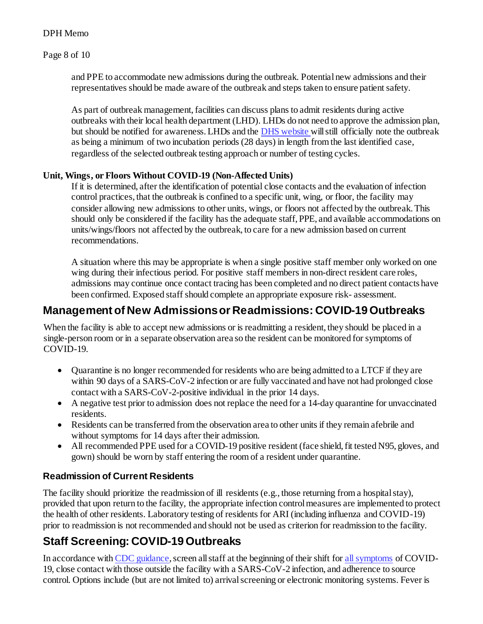Page 8 of 10

and PPE to accommodate new admissions during the outbreak. Potential new admissions and their representatives should be made aware of the outbreak and steps taken to ensure patient safety.

As part of outbreak management, facilities can discuss plans to admit residents during active outbreaks with their local health department (LHD). LHDs do not need to approve the admission plan, but should be notified for awareness. LHDs and th[e DHS website](https://www.dhs.wisconsin.gov/covid-19/investigations.htm) will still officially note the outbreak as being a minimum of two incubation periods (28 days) in length from the last identified case, regardless of the selected outbreak testing approach or number of testing cycles.

#### **Unit, Wings, or Floors Without COVID-19 (Non-Affected Units)**

If it is determined, after the identification of potential close contacts and the evaluation of infection control practices, that the outbreak is confined to a specific unit, wing, or floor, the facility may consider allowing new admissions to other units, wings, or floors not affected by the outbreak. This should only be considered if the facility has the adequate staff, PPE, and available accommodations on units/wings/floors not affected by the outbreak, to care for a new admission based on current recommendations.

A situation where this may be appropriate is when a single positive staff member only worked on one wing during their infectious period. For positive staff members in non-direct resident care roles, admissions may continue once contact tracing has been completed and no direct patient contacts have been confirmed. Exposed staff should complete an appropriate exposure risk- assessment.

### **Management of New Admissions or Readmissions: COVID-19 Outbreaks**

When the facility is able to accept new admissions or is readmitting a resident, they should be placed in a single-person room or in a separate observation area so the resident can be monitored for symptoms of COVID-19.

- Quarantine is no longer recommended for residents who are being admitted to a LTCF if they are within 90 days of a SARS-CoV-2 infection or are fully vaccinated and have not had prolonged close contact with a SARS-CoV-2-positive individual in the prior 14 days.
- A negative test prior to admission does not replace the need for a 14-day quarantine for unvaccinated residents.
- Residents can be transferred from the observation area to other units if they remain afebrile and without symptoms for 14 days after their admission.
- All recommended PPE used for a COVID-19 positive resident (face shield, fit tested N95, gloves, and gown) should be worn by staff entering the room of a resident under quarantine.

#### **Readmission of Current Residents**

The facility should prioritize the readmission of ill residents (e.g., those returning from a hospital stay), provided that upon return to the facility, the appropriate infection control measures are implemented to protect the health of other residents. Laboratory testing of residents for ARI (including influenza and COVID-19) prior to readmission is not recommended and should not be used as criterion for readmission to the facility.

## **Staff Screening: COVID-19 Outbreaks**

In accordance wit[h CDC guidance](https://www.cdc.gov/coronavirus/2019-ncov/hcp/long-term-care.html), screen all staff at the beginning of their shift fo[r all symptoms](https://www.cdc.gov/coronavirus/2019-ncov/symptoms-testing/symptoms.html) of COVID-19, close contact with those outside the facility with a SARS-CoV-2 infection, and adherence to source control. Options include (but are not limited to) arrival screening or electronic monitoring systems. Fever is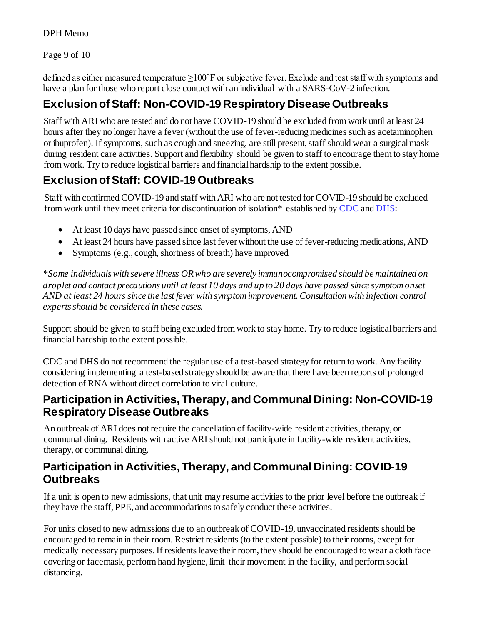Page 9 of 10

defined as either measured temperature ≥100°F or subjective fever. Exclude and test staff with symptoms and have a plan for those who report close contact with an individual with a SARS-CoV-2 infection.

## **Exclusion of Staff: Non-COVID-19 Respiratory Disease Outbreaks**

Staff with ARI who are tested and do not have COVID-19 should be excluded from work until at least 24 hours after they no longer have a fever (without the use of fever-reducing medicines such as acetaminophen or ibuprofen). If symptoms, such as cough and sneezing, are still present, staff should wear a surgical mask during resident care activities. Support and flexibility should be given to staff to encourage them to stay home from work. Try to reduce logistical barriers and financial hardship to the extent possible.

# **Exclusion of Staff: COVID-19 Outbreaks**

Staff with confirmed COVID-19 and staff with ARI who are not tested for COVID-19 should be excluded from work until they meet criteria for discontinuation of isolation\* established b[y CDC](https://www.cdc.gov/coronavirus/2019-ncov/hcp/return-to-work.html) an[d DHS](https://www.dhs.wisconsin.gov/covid-19/providers.htm):

- At least 10 days have passed since onset of symptoms, AND
- At least 24 hours have passed since last fever without the use of fever-reducing medications, AND
- Symptoms (e.g., cough, shortness of breath) have improved

*\*Some individuals with severe illness OR who are severely immunocompromised should be maintained on droplet and contact precautions until at least 10 days and up to 20 days have passed since symptom onset AND at least 24 hours since the last fever with symptom improvement. Consultation with infection control experts should be considered in these cases.* 

Support should be given to staff being excluded from work to stay home. Try to reduce logistical barriers and financial hardship to the extent possible.

CDC and DHS do not recommend the regular use of a test-based strategy for return to work. Any facility considering implementing a test-based strategy should be aware that there have been reports of prolonged detection of RNA without direct correlation to viral culture.

### **Participation in Activities, Therapy, and Communal Dining: Non-COVID-19 Respiratory Disease Outbreaks**

An outbreak of ARI does not require the cancellation of facility-wide resident activities, therapy, or communal dining. Residents with active ARI should not participate in facility-wide resident activities, therapy, or communal dining.

### **Participation in Activities, Therapy, and Communal Dining: COVID-19 Outbreaks**

If a unit is open to new admissions, that unit may resume activities to the prior level before the outbreak if they have the staff, PPE, and accommodations to safely conduct these activities.

For units closed to new admissions due to an outbreak of COVID-19, unvaccinated residents should be encouraged to remain in their room. Restrict residents (to the extent possible) to their rooms, except for medically necessary purposes. If residents leave their room, they should be encouraged to wear a cloth face covering or facemask, perform hand hygiene, limit their movement in the facility, and perform social distancing.